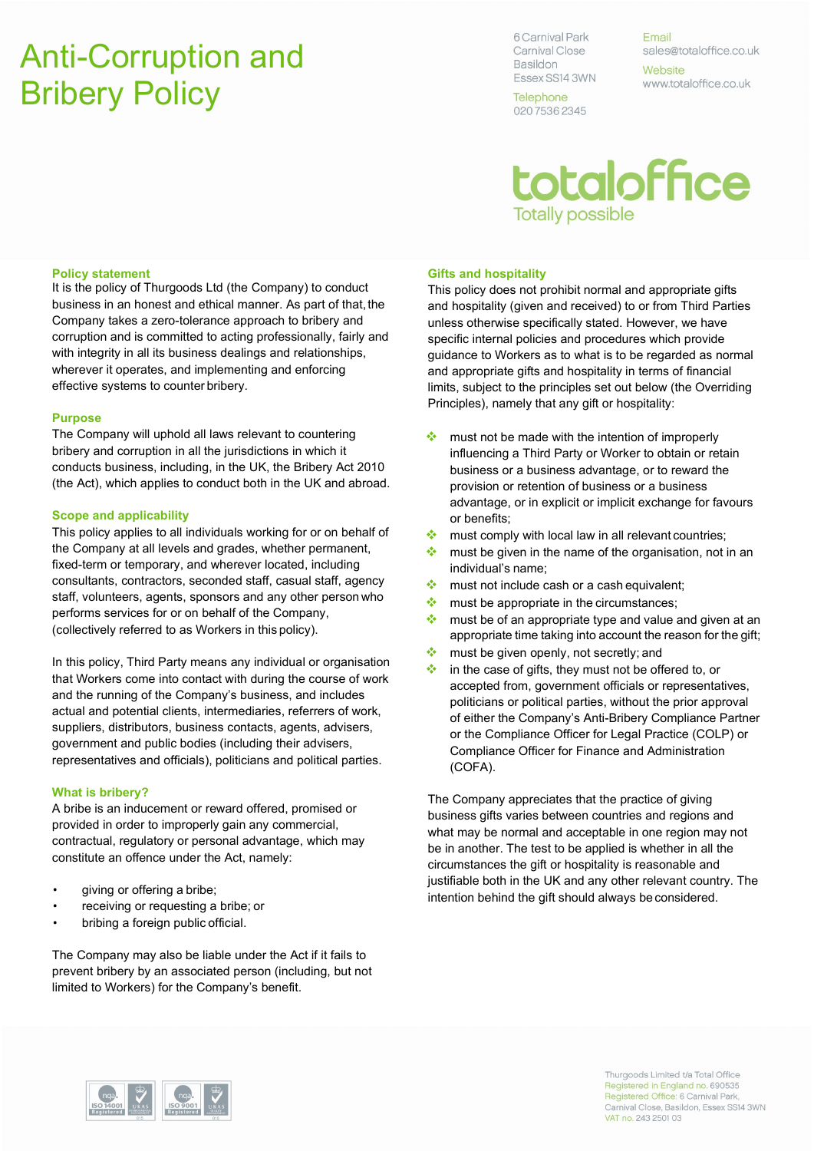# Anti-Corruption and Bribery Policy

6 Carnival Park Carnival Close **Basildon** Essex SS14 3WN

Telephone 020 7536 2345

Email sales@totaloffice.co.uk Website www.totaloffice.co.uk

# totaloffice **Totally possible**

## Policy statement

It is the policy of Thurgoods Ltd (the Company) to conduct business in an honest and ethical manner. As part of that, the Company takes a zero-tolerance approach to bribery and corruption and is committed to acting professionally, fairly and with integrity in all its business dealings and relationships, wherever it operates, and implementing and enforcing effective systems to counter bribery.

### Purpose

The Company will uphold all laws relevant to countering bribery and corruption in all the jurisdictions in which it conducts business, including, in the UK, the Bribery Act 2010 (the Act), which applies to conduct both in the UK and abroad.

### Scope and applicability

This policy applies to all individuals working for or on behalf of the Company at all levels and grades, whether permanent, fixed-term or temporary, and wherever located, including consultants, contractors, seconded staff, casual staff, agency staff, volunteers, agents, sponsors and any other person who performs services for or on behalf of the Company, (collectively referred to as Workers in this policy).

In this policy, Third Party means any individual or organisation that Workers come into contact with during the course of work and the running of the Company's business, and includes actual and potential clients, intermediaries, referrers of work, suppliers, distributors, business contacts, agents, advisers, government and public bodies (including their advisers, representatives and officials), politicians and political parties.

## What is bribery?

A bribe is an inducement or reward offered, promised or provided in order to improperly gain any commercial, contractual, regulatory or personal advantage, which may constitute an offence under the Act, namely:

- giving or offering a bribe;
- receiving or requesting a bribe; or
- bribing a foreign public official.

The Company may also be liable under the Act if it fails to prevent bribery by an associated person (including, but not limited to Workers) for the Company's benefit.

## Gifts and hospitality

This policy does not prohibit normal and appropriate gifts and hospitality (given and received) to or from Third Parties unless otherwise specifically stated. However, we have specific internal policies and procedures which provide guidance to Workers as to what is to be regarded as normal and appropriate gifts and hospitality in terms of financial limits, subject to the principles set out below (the Overriding Principles), namely that any gift or hospitality:

- $\cdot$  must not be made with the intention of improperly influencing a Third Party or Worker to obtain or retain business or a business advantage, or to reward the provision or retention of business or a business advantage, or in explicit or implicit exchange for favours or benefits;
- $\cdot$  must comply with local law in all relevant countries;
- $\cdot$  must be given in the name of the organisation, not in an individual's name;
- $\cdot$  must not include cash or a cash equivalent;
- $\bullet\bullet$  must be appropriate in the circumstances;
- **\*** must be of an appropriate type and value and given at an appropriate time taking into account the reason for the gift;
- $\cdot$  must be given openly, not secretly; and
- $\cdot$  in the case of gifts, they must not be offered to, or accepted from, government officials or representatives, politicians or political parties, without the prior approval of either the Company's Anti-Bribery Compliance Partner or the Compliance Officer for Legal Practice (COLP) or Compliance Officer for Finance and Administration (COFA).

The Company appreciates that the practice of giving business gifts varies between countries and regions and what may be normal and acceptable in one region may not be in another. The test to be applied is whether in all the circumstances the gift or hospitality is reasonable and justifiable both in the UK and any other relevant country. The intention behind the gift should always be considered.



Thurgoods Limited t/a Total Office Registered in England no. 690535 Registered Office: 6 Carnival Park, Carnival Close, Basildon, Essex SS14 3WN VAT no. 243 2501 03